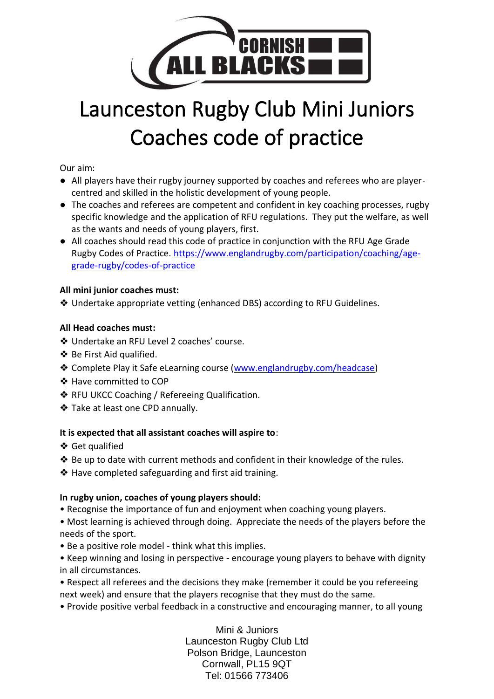

# Launceston Rugby Club Mini Juniors Coaches code of practice

#### Our aim:

- All players have their rugby journey supported by coaches and referees who are playercentred and skilled in the holistic development of young people.
- The coaches and referees are competent and confident in key coaching processes, rugby specific knowledge and the application of RFU regulations. They put the welfare, as well as the wants and needs of young players, first.
- All coaches should read this code of practice in conjunction with the RFU Age Grade Rugby Codes of Practice. [https://www.englandrugby.com/participation/coaching/age](https://www.englandrugby.com/participation/coaching/age-grade-rugby/codes-of-practice)[grade-rugby/codes-of-practice](https://www.englandrugby.com/participation/coaching/age-grade-rugby/codes-of-practice)

#### **All mini junior coaches must:**

❖ Undertake appropriate vetting (enhanced DBS) according to RFU Guidelines.

#### **All Head coaches must:**

- ❖ Undertake an RFU Level 2 coaches' course.
- ❖ Be First Aid qualified.
- ❖ Complete Play it Safe eLearning course [\(www.englandrugby.com/headcase\)](http://www.englandrugby.com/headcase)
- ❖ Have committed to COP
- ❖ RFU UKCC Coaching / Refereeing Qualification.
- ❖ Take at least one CPD annually.

#### **It is expected that all assistant coaches will aspire to**:

- ❖ Get qualified
- ❖ Be up to date with current methods and confident in their knowledge of the rules.
- ❖ Have completed safeguarding and first aid training.

#### **In rugby union, coaches of young players should:**

- Recognise the importance of fun and enjoyment when coaching young players.
- Most learning is achieved through doing. Appreciate the needs of the players before the needs of the sport.
- Be a positive role model think what this implies.
- Keep winning and losing in perspective encourage young players to behave with dignity in all circumstances.
- Respect all referees and the decisions they make (remember it could be you refereeing next week) and ensure that the players recognise that they must do the same.
- Provide positive verbal feedback in a constructive and encouraging manner, to all young

Mini & Juniors Launceston Rugby Club Ltd Polson Bridge, Launceston Cornwall, PL15 9QT Tel: 01566 773406